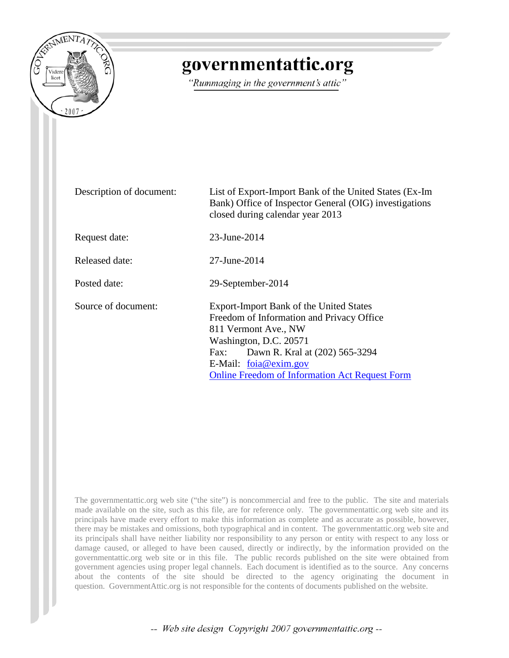

## governmentattic.org

"Rummaging in the government's attic"

| Description of document: | List of Export-Import Bank of the United States (Ex-Im<br>Bank) Office of Inspector General (OIG) investigations<br>closed during calendar year 2013                                                                                                               |  |  |  |
|--------------------------|--------------------------------------------------------------------------------------------------------------------------------------------------------------------------------------------------------------------------------------------------------------------|--|--|--|
| Request date:            | 23-June-2014                                                                                                                                                                                                                                                       |  |  |  |
| Released date:           | 27-June-2014                                                                                                                                                                                                                                                       |  |  |  |
| Posted date:             | 29-September-2014                                                                                                                                                                                                                                                  |  |  |  |
| Source of document:      | Export-Import Bank of the United States<br>Freedom of Information and Privacy Office<br>811 Vermont Ave., NW<br>Washington, D.C. 20571<br>Dawn R. Kral at (202) 565-3294<br>Fax:<br>E-Mail: foia@exim.gov<br><b>Online Freedom of Information Act Request Form</b> |  |  |  |

The governmentattic.org web site ("the site") is noncommercial and free to the public. The site and materials made available on the site, such as this file, are for reference only. The governmentattic.org web site and its principals have made every effort to make this information as complete and as accurate as possible, however, there may be mistakes and omissions, both typographical and in content. The governmentattic.org web site and its principals shall have neither liability nor responsibility to any person or entity with respect to any loss or damage caused, or alleged to have been caused, directly or indirectly, by the information provided on the governmentattic.org web site or in this file. The public records published on the site were obtained from government agencies using proper legal channels. Each document is identified as to the source. Any concerns about the contents of the site should be directed to the agency originating the document in question. GovernmentAttic.org is not responsible for the contents of documents published on the website.

-- Web site design Copyright 2007 governmentattic.org --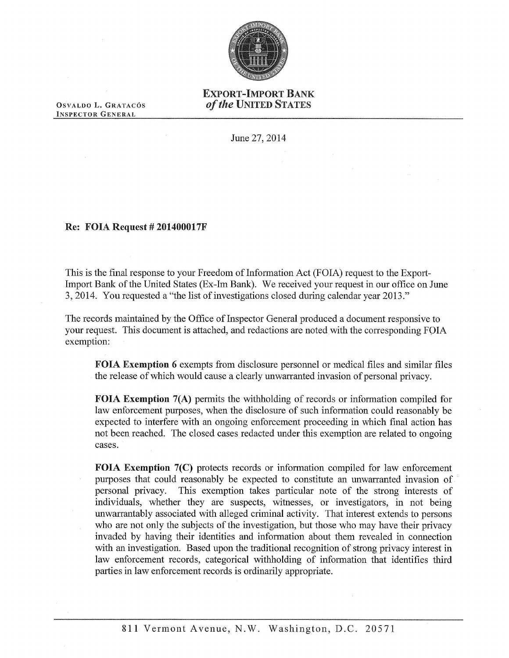

## EXPORT-IMPORT BANK *of the* UNITED STATES

OSVALDO L. GRATACÓS INSPECTOR GENERAL

June 27, 2014

## Re: FOIA Request# 201400017F

This is the final response to your Freedom of Information Act (FOIA) request to the Export-Import Bank of the United States (Ex-Im Bank). We received your request in our office on June 3, 2014. You requested a "the list of investigations closed during calendar year 2013."

The records maintained by the Office of Inspector General produced a document responsive to your request. This document is attached, and redactions are noted with the corresponding FOIA exemption:

FOIA Exemption 6 exempts from disclosure personnel or medical files and similar files the release of which would cause a clearly unwarranted invasion of personal privacy.

FOIA Exemption 7(A) permits the withholding of records or information compiled for law enforcement purposes, when the disclosure of such information could reasonably be expected to interfere with an ongoing enforcement proceeding in which final action has not been reached. The closed cases redacted under this exemption are related to ongoing cases.

FOIA Exemption 7(C) protects records or information compiled for law enforcement purposes that could reasonably be expected to constitute an unwarranted invasion of personal privacy. This exemption takes particular note of the strong interests of individuals, whether they are suspects, witnesses, or investigators, in not being unwarrantably associated with alleged criminal activity. That interest extends to persons who are not only the subjects of the investigation, but those who may have their privacy invaded by having their identities and information about them revealed in connection with an investigation. Based upon the traditional recognition of strong privacy interest in law enforcement records, categorical withholding of information that identifies third parties in law enforcement records is ordinarily appropriate.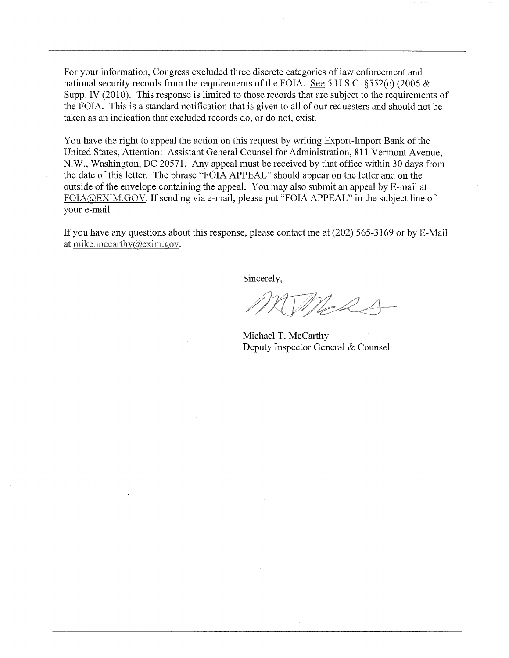For your information, Congress excluded three discrete categories of law enforcement and national security records from the requirements of the FOIA. See 5 U.S.C. §552(c) (2006 & Supp. IV (2010). This response is limited to those records that are subject to the requirements of the FOIA. This is a standard notification that is given to all of our requesters and should not be taken as an indication that excluded records do, or do not, exist.

You have the right to appeal the action on this request by writing Export-Import Bank of the United States, Attention: Assistant General Counsel for Administration, 811 Vermont Avenue, N.W., Washington, DC 20571. Any appeal must be received by that office within 30 days from the date of this letter. The phrase "FOIA APPEAL" should appear on the letter and on the outside of the envelope containing the appeal. You may also submit an appeal by E-mail at FOIA@EXIM.GOV. If sending via e-mail, please put "FOIA APPEAL" in the subject line of your e-mail.

If you have any questions about this response, please contact me at (202) 565-3169 or by E-Mail at mike.mccarthy $@$ exim.gov.

Sincerely,

MeRA

Michael T. McCarthy Deputy Inspector General & Counsel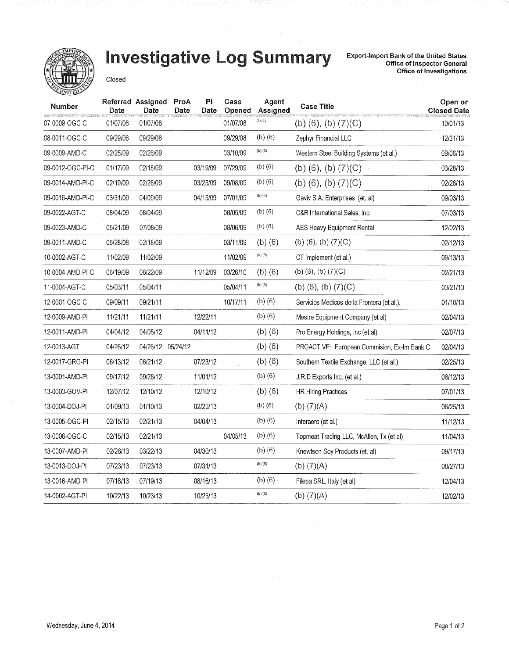

## Investigative Log Summary

Export-Import Bank of the United States<br>Office of Inspector General Office of Investigations

Closed

| Number           | Date     | Referred Assigned<br>Date | ProA<br>Date | P <sub>1</sub><br>Date | Case<br>Opened | Agent<br>Assigned | <b>Case Title</b>                           | Open or<br><b>Closed Date</b> |
|------------------|----------|---------------------------|--------------|------------------------|----------------|-------------------|---------------------------------------------|-------------------------------|
| 07-0009-OGC-C    | 01/07/08 | 01/07/08                  |              |                        | 01/07/08       | (b) $(6)$ ,       | (b) $(6)$ , $(b)$ $(7)(C)$                  | 10/01/13                      |
| 08-0011-OGC-C    | 09/29/08 | 09/29/08                  |              |                        | 09/29/08       | $(b)$ $(6)$       | Zephyr Financial LLC                        | 12/31/13                      |
| 09-0009-AMD-C    | 02/25/09 | 02/26/09                  |              |                        | 03/10/09       | (b) $(6)$         | Western Steel Building Systems (et al.)     | 09/06/13                      |
| 09-0012-OGC-PI-C | 01/17/09 | 02/18/09                  |              | 03/19/09               | 07/29/09       | $(b)$ $(6)$       | (b) $(6)$ , $(b)$ $(7)(C)$                  | 03/28/13                      |
| 09-0014-AMD-PI-C | 02/19/09 | 02/26/09                  |              | 03/25/09               | 09/08/09       | $(b)$ $(6)$       | (b) $(6)$ , $(b)$ $(7)(C)$                  | 02/26/13                      |
| 09-0016-AMD-PI-C | 03/31/09 | 04/09/09                  |              | 04/15/09               | 07/01/09       | $(b)$ $(6)$       | Gaviv S.A. Enterprises (et. al)             | 09/03/13                      |
| 09-0022-AGT-C    | 08/04/09 | 08/04/09                  |              |                        | 08/05/09       | $(b)$ $(6)$       | C&R International Sales, Inc.               | 07/03/13                      |
| 09-0023-AMD-C    | 05/21/09 | 07/08/09                  |              |                        | 08/06/09       | $(b)$ $(6)$       | AES Heavy Equipment Rental                  | 12/02/13                      |
| 09-0011-AMD-C    | 05/28/08 | 02/18/09                  |              |                        | 03/11/09       | $(b)$ $(6)$       | (b) $(6)$ , $(b)$ $(7)(C)$                  | 02/12/13                      |
| 10-0002-AGT-C    | 11/02/09 | 11/02/09                  |              |                        | 11/02/09       | $(b)$ $(6)$       | CT Implement (et al.)                       | 09/13/13                      |
| 10-0004-AMD-PI-C | 06/19/09 | 06/22/09                  |              | 11/12/09               | 03/26/10       | $(b)$ $(6)$       | (b) $(6)$ , $(b)$ $(7)(C)$                  | 02/21/13                      |
| 11-0004-AGT-C    | 05/03/11 | 05/04/11                  |              |                        | 05/04/11       | $(b)$ $(6)$       | (b) $(6)$ , $(b)$ $(7)(C)$                  | 03/21/13                      |
| 12-0001-OGC-C    | 09/09/11 | 09/21/11                  |              |                        | 10/17/11       | $(b)$ $(6)$       | Servicios Medicos de la Frontera (et al.).  | 01/10/13                      |
| 12-0009-AMD-PI   | 11/21/11 | 11/21/11                  |              | 12/22/11               |                | $(b)$ $(6)$       | Mestre Equipment Company (et al)            | 02/04/13                      |
| 12-0011-AMD-PI   | 04/04/12 | 04/05/12                  |              | 04/11/12               |                | $(b)$ (6)         | Pro Energy Holdings, Inc (et al)            | 02/07/13                      |
| 12-0013-AGT      | 04/26/12 | 04/26/12 05/24/12         |              |                        |                | $(b)$ (6)         | PROACTIVE: European Commision, Ex-Im Bank C | 02/04/13                      |
| 12-0017-GRG-PI   | 06/13/12 | 06/21/12                  |              | 07/23/12               |                | $(b)$ $(6)$       | Southern Textile Exchange, LLC (et al.)     | 02/25/13                      |
| 13-0001-AMD-PI   | 09/17/12 | 09/28/12                  |              | 11/01/12               |                | $(b)$ $(6)$       | J.R.D Exports Inc. (et al.)                 | 06/12/13                      |
| 13-0003-GOV-PI   | 12/07/12 | 12/10/12                  |              | 12/10/12               |                | $(b)$ $(6)$       | <b>HR Hiring Practices</b>                  | 07/01/13                      |
| 13-0004-DOJ-PI   | 01/09/13 | 01/10/13                  |              | 02/25/13               |                | $(b)$ (6)         | (b) $(7)(A)$                                | 06/25/13                      |
| 13-0005-OGC-PI   | 02/15/13 | 02/21/13                  |              | 04/04/13               |                | $(b)$ $(6)$       | Interaero (et al.)                          | 11/12/13                      |
| 13-0006-OGC-C    | 02/15/13 | 02/21/13                  |              |                        | 04/05/13       | $(b)$ $(6)$       | Topmeat Trading LLC, McAllen, Tx (et al)    | 11/04/13                      |
| 13-0007-AMD-PI   | 02/26/13 | 03/22/13                  |              | 04/30/13               |                | $(b)$ (6)         | Knewtson Soy Products (et. al)              | 09/17/13                      |
| 13-0013-DOJ-PI   | 07/23/13 | 07/23/13                  |              | 07/31/13               |                | (b) (6)           | (b) $(7)(A)$<br>08/27/13                    |                               |
| 13-0016-AMD-PI   | 07/18/13 | 07/19/13                  |              | 08/16/13               |                | $(b)$ $(6)$       | Filepa SRL, Italy (et al)<br>12/04/13       |                               |
| 14-0002-AGT-PI   | 10/22/13 | 10/23/13                  |              | 10/25/13               |                | $(b)$ $(6)$       | (b) $(7)(A)$<br>12/02/13                    |                               |